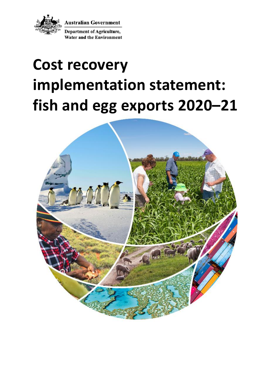

**Australian Government** 

**Department of Agriculture, Water and the Environment** 

# **Cost recovery implementation statement: fish and egg exports 2020–21**

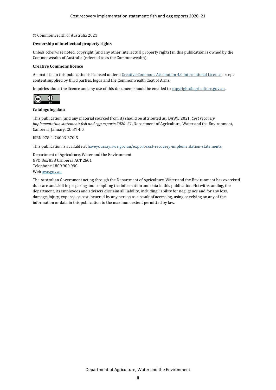#### © Commonwealth of Australia 2021

#### **Ownership of intellectual property rights**

Unless otherwise noted, copyright (and any other intellectual property rights) in this publication is owned by the Commonwealth of Australia (referred to as the Commonwealth).

#### **Creative Commons licence**

All material in this publication is licensed under [a Creative Commons Attribution 4.0 International Licence](https://creativecommons.org/licenses/by/4.0/legalcode) except content supplied by third parties, logos and the Commonwealth Coat of Arms.

Inquiries about the licence and any use of this document should be emailed t[o copyright@agriculture.gov.au.](mailto:copyright@agriculture.gov.au)



#### **Cataloguing data**

This publication (and any material sourced from it) should be attributed as: DAWE 2021, *Cost recovery implementation statement: fish and egg exports 2020–21*, Department of Agriculture, Water and the Environment, Canberra, January. CC BY 4.0.

ISBN 978-1-76003-370-5

This publication is available a[t haveyoursay.awe.gov.au/export-cost-recovery-implementation-statements.](file://///Act001cl04fs02/parliamentmedia$/ParliamentMedia/Corporate%20Communications/Production/Editors/Editing%202021/CRIS%20Jan/CRIS%20check/haveyoursay.awe.gov.au/export-cost-recovery-implementation-statements)

Department of Agriculture, Water and the Environment GPO Box 858 Canberra ACT 2601 Telephone 1800 900 090 We[b awe.gov.au](https://www.awe.gov.au/)

The Australian Government acting through the Department of Agriculture, Water and the Environment has exercised due care and skill in preparing and compiling the information and data in this publication. Notwithstanding, the department, its employees and advisers disclaim all liability, including liability for negligence and for any loss, damage, injury, expense or cost incurred by any person as a result of accessing, using or relying on any of the information or data in this publication to the maximum extent permitted by law.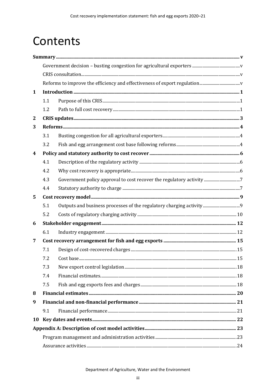# Contents

| $\mathbf{1}$     |     |  |  |  |  |  |
|------------------|-----|--|--|--|--|--|
|                  | 1.1 |  |  |  |  |  |
|                  | 1.2 |  |  |  |  |  |
| $\mathbf{2}$     |     |  |  |  |  |  |
| 3                |     |  |  |  |  |  |
|                  | 3.1 |  |  |  |  |  |
|                  | 3.2 |  |  |  |  |  |
| $\boldsymbol{4}$ |     |  |  |  |  |  |
|                  | 4.1 |  |  |  |  |  |
|                  | 4.2 |  |  |  |  |  |
|                  | 4.3 |  |  |  |  |  |
|                  | 4.4 |  |  |  |  |  |
| 5                |     |  |  |  |  |  |
|                  | 5.1 |  |  |  |  |  |
|                  | 5.2 |  |  |  |  |  |
| 6                |     |  |  |  |  |  |
|                  | 6.1 |  |  |  |  |  |
| 7                |     |  |  |  |  |  |
|                  | 7.1 |  |  |  |  |  |
|                  | 7.2 |  |  |  |  |  |
|                  | 7.3 |  |  |  |  |  |
|                  | 7.4 |  |  |  |  |  |
|                  | 7.5 |  |  |  |  |  |
| 8                |     |  |  |  |  |  |
| 9                |     |  |  |  |  |  |
|                  | 9.1 |  |  |  |  |  |
| 10               |     |  |  |  |  |  |
|                  |     |  |  |  |  |  |
|                  |     |  |  |  |  |  |
|                  |     |  |  |  |  |  |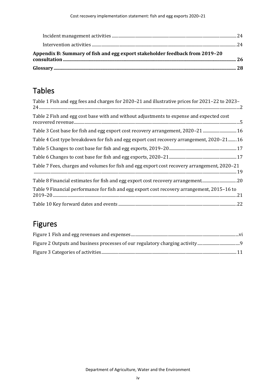| Appendix B: Summary of fish and egg export stakeholder feedback from 2019-20 |  |
|------------------------------------------------------------------------------|--|
|                                                                              |  |

## Tables

| Table 1 Fish and egg fees and charges for 2020-21 and illustrative prices for 2021-22 to 2023- |
|------------------------------------------------------------------------------------------------|
| Table 2 Fish and egg cost base with and without adjustments to expense and expected cost       |
| Table 3 Cost base for fish and egg export cost recovery arrangement, 2020-21 16                |
| Table 4 Cost type breakdown for fish and egg export cost recovery arrangement, 2020-21 16      |
|                                                                                                |
|                                                                                                |
| Table 7 Fees, charges and volumes for fish and egg export cost recovery arrangement, 2020-21   |
| Table 8 Financial estimates for fish and egg export cost recovery arrangement20                |
| Table 9 Financial performance for fish and egg export cost recovery arrangement, 2015-16 to    |
|                                                                                                |

## Figures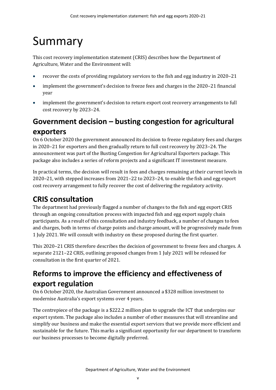# <span id="page-4-0"></span>Summary

This cost recovery implementation statement (CRIS) describes how the Department of Agriculture, Water and the Environment will:

- recover the costs of providing regulatory services to the fish and egg industry in 2020–21
- implement the government's decision to freeze fees and charges in the 2020–21 financial year
- implement the government's decision to return export cost recovery arrangements to full cost recovery by 2023–24.

## <span id="page-4-1"></span>**Government decision – busting congestion for agricultural exporters**

On 6 October 2020 the government announced its decision to freeze regulatory fees and charges in 2020–21 for exporters and then gradually return to full cost recovery by 2023–24. The announcement was part of the Busting Congestion for Agricultural Exporters package. This package also includes a series of reform projects and a significant IT investment measure.

In practical terms, the decision will result in fees and charges remaining at their current levels in 2020–21, with stepped increases from 2021–22 to 2023–24, to enable the fish and egg export cost recovery arrangement to fully recover the cost of delivering the regulatory activity.

## <span id="page-4-2"></span>**CRIS consultation**

The department had previously flagged a number of changes to the fish and egg export CRIS through an ongoing consultation process with impacted fish and egg export supply chain participants. As a result of this consultation and industry feedback, a number of changes to fees and charges, both in terms of charge points and charge amount, will be progressively made from 1 July 2021. We will consult with industry on these proposed during the first quarter.

This 2020–21 CRIS therefore describes the decision of government to freeze fees and charges. A separate 2121–22 CRIS, outlining proposed changes from 1 July 2021 will be released for consultation in the first quarter of 2021.

## <span id="page-4-3"></span>**Reforms to improve the efficiency and effectiveness of export regulation**

On 6 October 2020, the Australian Government announced a \$328 million investment to modernise Australia's export systems over 4 years.

The centrepiece of the package is a \$222.2 million plan to upgrade the ICT that underpins our export system. The package also includes a number of other measures that will streamline and simplify our business and make the essential export services that we provide more efficient and sustainable for the future. This marks a significant opportunity for our department to transform our business processes to become digitally preferred.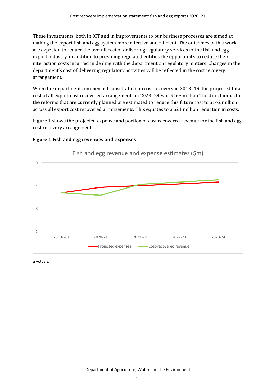These investments, both in ICT and in improvements to our business processes are aimed at making the export fish and egg system more effective and efficient. The outcomes of this work are expected to reduce the overall cost of delivering regulatory services to the fish and egg export industry, in addition to providing regulated entities the opportunity to reduce their interaction costs incurred in dealing with the department on regulatory matters. Changes in the department's cost of delivering regulatory activities will be reflected in the cost recovery arrangement.

When the department commenced consultation on cost recovery in 2018–19, the projected total cost of all export cost recovered arrangements in 2023–24 was \$163 million The direct impact of the reforms that are currently planned are estimated to reduce this future cost to \$142 million across all export cost recovered arrangements. This equates to a \$21 million reduction in costs.

[Figure 1](#page-5-0) shows the projected expense and portion of cost recovered revenue for the fish and egg cost recovery arrangement.



#### <span id="page-5-0"></span>**Figure 1 Fish and egg revenues and expenses**

**a** Actuals.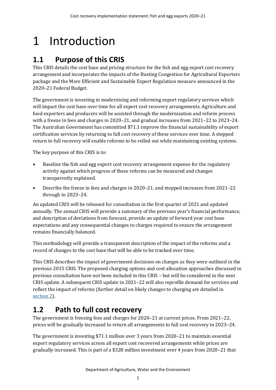# <span id="page-6-0"></span>1 Introduction

## <span id="page-6-1"></span>**1.1 Purpose of this CRIS**

This CRIS details the cost base and pricing structure for the fish and egg export cost recovery arrangement and incorporates the impacts of the Busting Congestion for Agricultural Exporters package and the More Efficient and Sustainable Export Regulation measure announced in the 2020–21 Federal Budget.

The government is investing in modernising and reforming export regulatory services which will impact the cost base over time for all export cost recovery arrangements. Agriculture and food exporters and producers will be assisted through the modernisation and reform process with a freeze in fees and charges in 2020–21, and gradual increases from 2021–22 to 2023–24. The Australian Government has committed \$71.1 improve the financial sustainability of export certification services by returning to full cost recovery of these services over time. A stepped return to full recovery will enable reforms to be rolled out while maintaining existing systems.

The key purpose of this CRIS is to:

- Baseline the fish and egg export cost recovery arrangement expense for the regulatory activity against which progress of these reforms can be measured and changes transparently explained.
- Describe the freeze in fees and charges in 2020–21, and stepped increases from 2021–22 through to 2023–24.

An updated CRIS will be released for consultation in the first quarter of 2021 and updated annually. The annual CRIS will provide a summary of the previous year's financial performance, and description of deviations from forecast, provide an update of forward year cost base expectations and any consequential changes to charges required to ensure the arrangement remains financially balanced.

This methodology will provide a transparent description of the impact of the reforms and a record of changes to the cost base that will be able to be tracked over time.

This CRIS describes the impact of government decisions on charges as they were outlined in the previous 2015 CRIS. The proposed charging options and cost allocation approaches discussed in previous consultation have not been included in this CRIS – but will be considered in the next CRIS update. A subsequent CRIS update in 2021–22 will also reprofile demand for services and reflect the impact of reforms (further detail on likely changes to charging are detailed in [section](#page-8-0) 2).

## <span id="page-6-2"></span>**1.2 Path to full cost recovery**

The government is freezing fees and charges for 2020–21 at current prices. From 2021–22, prices will be gradually increased to return all arrangements to full cost recovery in 2023–24.

The government is investing \$71.1 million over 3 years from 2020–21 to maintain essential export regulatory services across all export cost recovered arrangements while prices are gradually increased. This is part of a \$328 million investment over 4 years from 2020–21 that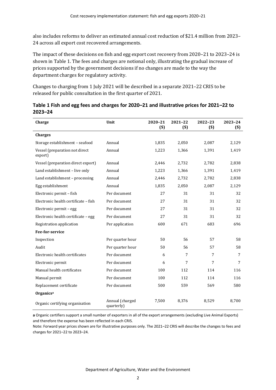also includes reforms to deliver an estimated annual cost reduction of \$21.4 million from 2023– 24 across all export cost recovered arrangements.

The impact of these decisions on fish and egg export cost recovery from 2020–21 to 2023–24 is shown in [Table 1.](#page-7-0) The fees and charges are notional only, illustrating the gradual increase of prices supported by the government decisions if no changes are made to the way the department charges for regulatory activity.

Changes to charging from 1 July 2021 will be described in a separate 2021–22 CRIS to be released for public consultation in the first quarter of 2021.

| Charge                                    | Unit                          | 2020-21<br>$(s)$ | 2021-22<br>$(s)$ | 2022-23<br>$($)$ | 2023-24<br>$($)$ |
|-------------------------------------------|-------------------------------|------------------|------------------|------------------|------------------|
| <b>Charges</b>                            |                               |                  |                  |                  |                  |
| Storage establishment - seafood           | Annual                        | 1,835            | 2,050            | 2,087            | 2,129            |
| Vessel (preparation not direct<br>export) | Annual                        | 1,223            | 1,366            | 1,391            | 1,419            |
| Vessel (preparation direct export)        | Annual                        | 2,446            | 2,732            | 2,782            | 2,838            |
| Land establishment - live only            | Annual                        | 1,223            | 1,366            | 1,391            | 1,419            |
| Land establishment - processing           | Annual                        | 2,446            | 2,732            | 2,782            | 2,838            |
| Egg establishment                         | Annual                        | 1,835            | 2,050            | 2,087            | 2,129            |
| Electronic permit - fish                  | Per document                  | 27               | 31               | 31               | 32               |
| Electronic health certificate - fish      | Per document                  | 27               | 31               | 31               | 32               |
| Electronic permit - egg                   | Per document                  | 27               | 31               | 31               | 32               |
| Electronic health certificate - egg       | Per document                  | 27               | 31               | 31               | 32               |
| Registration application                  | Per application               | 600              | 671              | 683              | 696              |
| <b>Fee-for-service</b>                    |                               |                  |                  |                  |                  |
| Inspection                                | Per quarter hour              | 50               | 56               | 57               | 58               |
| Audit                                     | Per quarter hour              | 50               | 56               | 57               | 58               |
| Electronic health certificates            | Per document                  | 6                | 7                | 7                | 7                |
| Electronic permit                         | Per document                  | 6                | 7                | 7                | 7                |
| Manual health certificates                | Per document                  | 100              | 112              | 114              | 116              |
| Manual permit                             | Per document                  | 100              | 112              | 114              | 116              |
| Replacement certificate                   | Per document                  | 500              | 559              | 569              | 580              |
| Organics <sup>a</sup>                     |                               |                  |                  |                  |                  |
| Organic certifying organisation           | Annual (charged<br>quarterly) | 7,500            | 8,376            | 8,529            | 8,700            |

<span id="page-7-0"></span>

| Table 1 Fish and egg fees and charges for 2020–21 and illustrative prices for 2021–22 to |  |
|------------------------------------------------------------------------------------------|--|
| $2023 - 24$                                                                              |  |

**a** Organic certifiers support a small number of exporters in all of the export arrangements (excluding Live Animal Exports) and therefore the expense has been reflected in each CRIS.

Note: Forward year prices shown are for illustrative purposes only. The 2021–22 CRIS will describe the changes to fees and charges for 2021–22 to 2023–24.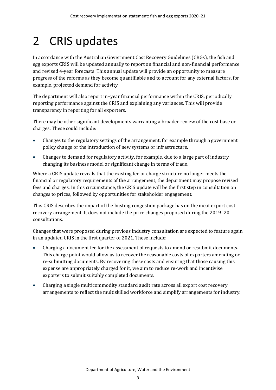# <span id="page-8-0"></span>2 CRIS updates

In accordance with the Australian Government Cost Recovery Guidelines (CRGs), the fish and egg exports CRIS will be updated annually to report on financial and non-financial performance and revised 4-year forecasts. This annual update will provide an opportunity to measure progress of the reforms as they become quantifiable and to account for any external factors, for example, projected demand for activity.

The department will also report in–year financial performance within the CRIS, periodically reporting performance against the CRIS and explaining any variances. This will provide transparency in reporting for all exporters.

There may be other significant developments warranting a broader review of the cost base or charges. These could include:

- Changes to the regulatory settings of the arrangement, for example through a government policy change or the introduction of new systems or infrastructure.
- Changes to demand for regulatory activity, for example, due to a large part of industry changing its business model or significant change in terms of trade.

Where a CRIS update reveals that the existing fee or charge structure no longer meets the financial or regulatory requirements of the arrangement, the department may propose revised fees and charges. In this circumstance, the CRIS update will be the first step in consultation on changes to prices, followed by opportunities for stakeholder engagement.

This CRIS describes the impact of the busting congestion package has on the meat export cost recovery arrangement. It does not include the price changes proposed during the 2019–20 consultations.

Changes that were proposed during previous industry consultation are expected to feature again in an updated CRIS in the first quarter of 2021. These include:

- Charging a document fee for the assessment of requests to amend or resubmit documents. This charge point would allow us to recover the reasonable costs of exporters amending or re-submitting documents. By recovering these costs and ensuring that those causing this expense are appropriately charged for it, we aim to reduce re-work and incentivise exporters to submit suitably completed documents.
- Charging a single multicommodity standard audit rate across all export cost recovery arrangements to reflect the multiskilled workforce and simplify arrangements for industry.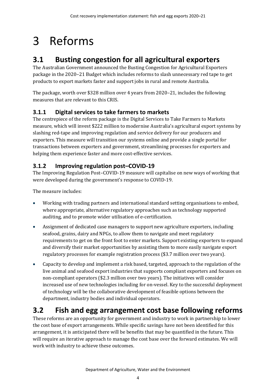# <span id="page-9-0"></span>3 Reforms

## <span id="page-9-1"></span>**3.1 Busting congestion for all agricultural exporters**

The Australian Government announced the Busting Congestion for Agricultural Exporters package in the 2020–21 Budget which includes reforms to slash unnecessary red tape to get products to export markets faster and support jobs in rural and remote Australia.

The package, worth over \$328 million over 4 years from 2020–21, includes the following measures that are relevant to this CRIS.

### **3.1.1 Digital services to take farmers to markets**

The centrepiece of the reform package is the Digital Services to Take Farmers to Markets measure, which will invest \$222 million to modernise Australia's agricultural export systems by slashing red-tape and improving regulation and service delivery for our producers and exporters. This measure will transition our systems online and provide a single portal for transactions between exporters and government, streamlining processes for exporters and helping them experience faster and more cost-effective services.

### **3.1.2 Improving regulation post–COVID-19**

The Improving Regulation Post–COVID-19 measure will capitalise on new ways of working that were developed during the government's response to COVID-19.

The measure includes:

- Working with trading partners and international standard setting organisations to embed, where appropriate, alternative regulatory approaches such as technology supported auditing, and to promote wider utilisation of e-certification.
- Assignment of dedicated case managers to support new agriculture exporters, including seafood, grains, dairy and NPGs, to allow them to navigate and meet regulatory requirements to get on the front foot to enter markets. Support existing exporters to expand and diversify their market opportunities by assisting them to more easily navigate export regulatory processes for example registration process (\$3.7 million over two years).
- Capacity to develop and implement a risk based, targeted, approach to the regulation of the live animal and seafood export industries that supports compliant exporters and focuses on non-compliant operators (\$2.3 million over two years). The initiatives will consider increased use of new technologies including for on-vessel. Key to the successful deployment of technology will be the collaborative development of feasible options between the department, industry bodies and individual operators.

## <span id="page-9-2"></span>**3.2 Fish and egg arrangement cost base following reforms**

These reforms are an opportunity for government and industry to work in partnership to lower the cost base of export arrangements. While specific savings have not been identified for this arrangement, it is anticipated there will be benefits that may be quantified in the future. This will require an iterative approach to manage the cost base over the forward estimates. We will work with industry to achieve these outcomes.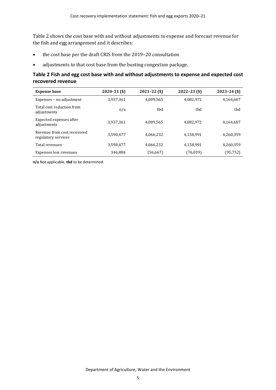[Table 2](#page-10-0) shows the cost base with and without adjustments to expense and forecast revenue for the fish and egg arrangement and it describes:

- the cost base per the draft CRIS from the 2019–20 consultation
- adjustments to that cost base from the busting congestion package.

#### <span id="page-10-0"></span>**Table 2 Fish and egg cost base with and without adjustments to expense and expected cost recovered revenue**

| <b>Expense base</b>                                | $2020 - 21$ (\$) | $2021 - 22$ (\$) | $2022 - 23$ (\$) | $2023 - 24$ (\$) |
|----------------------------------------------------|------------------|------------------|------------------|------------------|
| Expenses - no adjustment                           | 3.937.361        | 4.009.565        | 4,082,972        | 4,164,607        |
| Total cost reduction from<br>adjustments           | n/a              | thd              | thd              | tbd              |
| Expected expenses after<br>adjustments             | 3,937,361        | 4,009,565        | 4,082,972        | 4,164,607        |
| Revenue from cost recovered<br>regulatory services | 3,590,477        | 4,066,232        | 4,158,991        | 4,260,359        |
| Total revenues                                     | 3,590,477        | 4.066.232        | 4,158,991        | 4,260,359        |
| Expenses less revenues                             | 346,884          | (56, 667)        | (76, 019)        | (95, 752)        |

**n/a** Not applicable. **tbd** to be determined.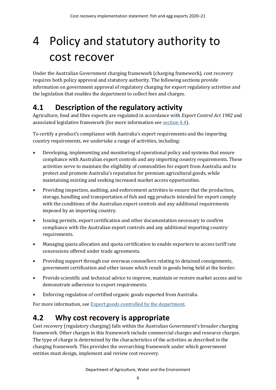# <span id="page-11-0"></span>4 Policy and statutory authority to cost recover

Under the Australian Government charging framework (charging framework), cost recovery requires both policy approval and statutory authority. The following sections provide information on government approval of regulatory charging for export regulatory activities and the legislation that enables the department to collect fees and charges.

## <span id="page-11-1"></span>**4.1 Description of the regulatory activity**

Agriculture, food and fibre exports are regulated in accordance with *Export Control Act 1982* and associated legislative framework (for more information see [section 4.4\)](#page-12-1).

To certify a product's compliance with Australia's export requirements and the importing country requirements, we undertake a range of activities, including:

- Developing, implementing and monitoring of operational policy and systems that ensure compliance with Australian export controls and any importing country requirements. These activities serve to maintain the eligibility of commodities for export from Australia and to protect and promote Australia's reputation for premium agricultural goods, while maintaining existing and seeking increased market access opportunities.
- Providing inspection, auditing, and enforcement activities to ensure that the production, storage, handling and transportation of fish and egg products intended for export comply with the conditions of the Australian export controls and any additional requirements imposed by an importing country.
- Issuing permits, export certification and other documentation necessary to confirm compliance with the Australian export controls and any additional importing country requirements.
- Managing quota allocation and quota certification to enable exporters to access tariff rate concessions offered under trade agreements.
- Providing support through our overseas counsellors relating to detained consignments, government certification and other issues which result in goods being held at the border.
- Provide scientific and technical advice to improve, maintain or restore market access and to demonstrate adherence to export requirements.
- Enforcing regulation of certified organic goods exported from Australia.

For more information, se[e Export goods controlled by the department.](https://www.agriculture.gov.au/export/controlled-goods)

## <span id="page-11-2"></span>**4.2 Why cost recovery is appropriate**

Cost recovery (regulatory charging) falls within the Australian Government's broader charging framework. Other charges in this framework include commercial charges and resource charges. The type of charge is determined by the characteristics of the activities as described in the charging framework. This provides the overarching framework under which government entities must design, implement and review cost recovery.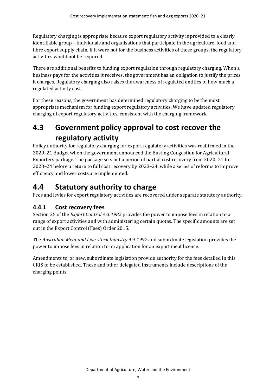Regulatory charging is appropriate because export regulatory activity is provided to a clearly identifiable group – individuals and organisations that participate in the agriculture, food and fibre export supply chain. If it were not for the business activities of these groups, the regulatory activities would not be required.

There are additional benefits to funding export regulation through regulatory charging. When a business pays for the activities it receives, the government has an obligation to justify the prices it charges. Regulatory charging also raises the awareness of regulated entities of how much a regulated activity cost.

For these reasons, the government has determined regulatory charging to be the most appropriate mechanism for funding export regulatory activities. We have updated regulatory charging of export regulatory activities, consistent with the charging framework.

## <span id="page-12-0"></span>**4.3 Government policy approval to cost recover the regulatory activity**

Policy authority for regulatory charging for export regulatory activities was reaffirmed in the 2020–21 Budget when the government announced the Busting Congestion for Agricultural Exporters package. The package sets out a period of partial cost recovery from 2020–21 to 2023–24 before a return to full cost recovery by 2023–24, while a series of reforms to improve efficiency and lower costs are implemented.

### <span id="page-12-1"></span>**4.4 Statutory authority to charge**

Fees and levies for export regulatory activities are recovered under separate statutory authority.

### **4.4.1 Cost recovery fees**

Section 25 of the *Export Control Act 1982* provides the power to impose fees in relation to a range of export activities and with administering certain quotas. The specific amounts are set out in the Export Control (Fees) Order 2015.

The *Australian Meat and Live-stock Industry Act 1997* and subordinate legislation provides the power to impose fees in relation to an application for an export meat licence.

Amendments to, or new, subordinate legislation provide authority for the fees detailed in this CRIS to be established. These and other delegated instruments include descriptions of the charging points.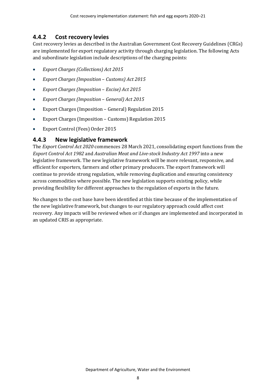#### **4.4.2 Cost recovery levies**

Cost recovery levies as described in the Australian Government Cost Recovery Guidelines (CRGs) are implemented for export regulatory activity through charging legislation. The following Acts and subordinate legislation include descriptions of the charging points:

- *Export Charges (Collections) Act 2015*
- *Export Charges (Imposition Customs) Act 2015*
- *Export Charges (Imposition Excise) Act 2015*
- *Export Charges (Imposition General) Act 2015*
- Export Charges (Imposition General) Regulation 2015
- Export Charges (Imposition Customs) Regulation 2015
- Export Control (Fees) Order 2015

#### **4.4.3 New legislative framework**

The *Export Control Act 2020* commences 28 March 2021, consolidating export functions from the *Export Control Act 1982* and *Australian Meat and Live-stock Industry Act 1997* into a new legislative framework. The new legislative framework will be more relevant, responsive, and efficient for exporters, farmers and other primary producers. The export framework will continue to provide strong regulation, while removing duplication and ensuring consistency across commodities where possible. The new legislation supports existing policy, while providing flexibility for different approaches to the regulation of exports in the future.

No changes to the cost base have been identified at this time because of the implementation of the new legislative framework, but changes to our regulatory approach could affect cost recovery. Any impacts will be reviewed when or if changes are implemented and incorporated in an updated CRIS as appropriate.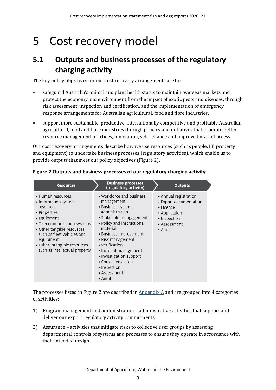# <span id="page-14-0"></span>5 Cost recovery model

## <span id="page-14-1"></span>**5.1 Outputs and business processes of the regulatory charging activity**

The key policy objectives for our cost recovery arrangements are to:

- safeguard Australia's animal and plant health status to maintain overseas markets and protect the economy and environment from the impact of exotic pests and diseases, through risk assessment, inspection and certification, and the implementation of emergency response arrangements for Australian agricultural, food and fibre industries.
- support more sustainable, productive, internationally competitive and profitable Australian agricultural, food and fibre industries through policies and initiatives that promote better resource management practices, innovation, self-reliance and improved market access.

Our cost recovery arrangements describe how we use resources (such as people, IT, property and equipment) to undertake business processes (regulatory activities), which enable us to provide outputs that meet our policy objectives [\(Figure 2\)](#page-14-2).

| <b>Resources</b>                                                                                                                                                                                                                                               | <b>Business processes</b><br>(regulatory activity)                                                                                                                                                                                                                                                                                          | <b>Outputs</b>                                                                                                           |
|----------------------------------------------------------------------------------------------------------------------------------------------------------------------------------------------------------------------------------------------------------------|---------------------------------------------------------------------------------------------------------------------------------------------------------------------------------------------------------------------------------------------------------------------------------------------------------------------------------------------|--------------------------------------------------------------------------------------------------------------------------|
| • Human resources<br>• Information system<br>resources<br>• Properties<br>• Equipment<br>• Telecommunication systems<br>• Other tangible resources<br>such as fleet vehicles and<br>equipment<br>• Other intangible resources<br>such as intellectual property | • Workforce and business<br>management<br>• Business systems<br>administration<br>• Stakeholder engagement<br>• Policy and instructional<br>material<br>• Business improvement<br>• Risk management<br>• Verification<br>· Incident management<br>• Investigation support<br>• Corrective action<br>• Inspection<br>• Assessment<br>• Audit | • Annual registration<br>• Export documentation<br>• Licence<br>• Application<br>• Inspection<br>• Assessment<br>• Audit |

#### <span id="page-14-2"></span>**Figure 2 Outputs and business processes of our regulatory charging activity**

The processes listed in [Figure 2](#page-14-2) are described in  $\Delta$  Appendix  $\Delta$  and are grouped into 4 categories of activities:

- 1) Program management and administration administrative activities that support and deliver our export regulatory activity commitments.
- 2) Assurance activities that mitigate risks to collective user groups by assessing departmental controls of systems and processes to ensure they operate in accordance with their intended design.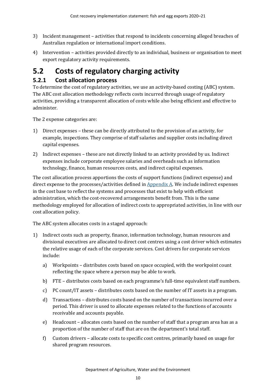- 3) Incident management activities that respond to incidents concerning alleged breaches of Australian regulation or international import conditions.
- 4) Intervention activities provided directly to an individual, business or organisation to meet export regulatory activity requirements.

## <span id="page-15-0"></span>**5.2 Costs of regulatory charging activity**

### **5.2.1 Cost allocation process**

To determine the cost of regulatory activities, we use an activity-based costing (ABC) system. The ABC cost allocation methodology reflects costs incurred through usage of regulatory activities, providing a transparent allocation of costs while also being efficient and effective to administer.

The 2 expense categories are:

- 1) Direct expenses these can be directly attributed to the provision of an activity, for example, inspections. They comprise of staff salaries and supplier costs including direct capital expenses.
- 2) Indirect expenses these are not directly linked to an activity provided by us. Indirect expenses include corporate employee salaries and overheads such as information technology, finance, human resources costs, and indirect capital expenses.

The cost allocation process apportions the costs of support functions (indirect expense) and direct expense to the processes/activities defined in  $Appendix A$ . We include indirect expenses in the cost base to reflect the systems and processes that exist to help with efficient administration, which the cost-recovered arrangements benefit from. This is the same methodology employed for allocation of indirect costs to appropriated activities, in line with our cost allocation policy.

The ABC system allocates costs in a staged approach:

- 1) Indirect costs such as property, finance, information technology, human resources and divisional executives are allocated to direct cost centres using a cost driver which estimates the relative usage of each of the corporate services. Cost drivers for corporate services include:
	- a) Workpoints distributes costs based on space occupied, with the workpoint count reflecting the space where a person may be able to work.
	- b) FTE distributes costs based on each programme's full-time equivalent staff numbers.
	- c) PC count/IT assets distributes costs based on the number of IT assets in a program.
	- d) Transactions distributes costs based on the number of transactions incurred over a period. This driver is used to allocate expenses related to the functions of accounts receivable and accounts payable.
	- e) Headcount allocates costs based on the number of staff that a program area has as a proportion of the number of staff that are on the department's total staff.
	- f) Custom drivers allocate costs to specific cost centres, primarily based on usage for shared program resources.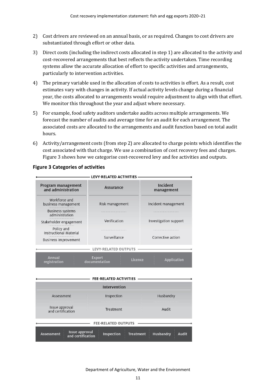- 2) Cost drivers are reviewed on an annual basis, or as required. Changes to cost drivers are substantiated through effort or other data.
- 3) Direct costs (including the indirect costs allocated in step 1) are allocated to the activity and cost-recovered arrangements that best reflects the activity undertaken. Time recording systems allow the accurate allocation of effort to specific activities and arrangements, particularly to intervention activities.
- 4) The primary variable used in the allocation of costs to activities is effort. As a result, cost estimates vary with changes in activity. If actual activity levels change during a financial year, the costs allocated to arrangements would require adjustment to align with that effort. We monitor this throughout the year and adjust where necessary.
- 5) For example, food safety auditors undertake audits across multiple arrangements. We forecast the number of audits and average time for an audit for each arrangement. The associated costs are allocated to the arrangements and audit function based on total audit hours.
- 6) Activity/arrangement costs (from step 2) are allocated to charge points which identifies the cost associated with that charge. We use a combination of cost recovery fees and charges. [Figure 3](#page-16-0) shows how we categorise cost-recovered levy and fee activities and outputs.

| Program management<br>and administration    | Assurance                                 | Incident<br>management                       |  |
|---------------------------------------------|-------------------------------------------|----------------------------------------------|--|
| Workforce and<br>business management        | Risk management                           | Incident management<br>Investigation support |  |
| <b>Business systems</b><br>administration   |                                           |                                              |  |
| Stakeholder engagement                      | Verification                              |                                              |  |
| Policy and<br><b>Instructional Material</b> |                                           |                                              |  |
| <b>Business improvement</b>                 | Surveillance                              | Corrective action                            |  |
|                                             | <b>LEVY-RELATED OUTPUTS</b>               |                                              |  |
| <b>Annual</b><br>registration               | <b>Export</b><br>Licence<br>documentation | <b>Application</b>                           |  |
|                                             |                                           |                                              |  |
|                                             | <b>FEE-RELATED ACTIVITIES</b>             |                                              |  |

#### <span id="page-16-0"></span>**Figure 3 Categories of activities**

|                                                                 | <b>FEE-RELATED ACTIVITIES</b>         |                                  |
|-----------------------------------------------------------------|---------------------------------------|----------------------------------|
|                                                                 | Intervention                          |                                  |
| Assessment                                                      | Inspection                            | Husbandry                        |
| Issue approval<br>and certification                             | Audit<br>Treatment                    |                                  |
|                                                                 | FEE-RELATED OUTPUTS -                 |                                  |
| <b>Issue approval</b><br><b>Assessment</b><br>and certification | <b>Inspection</b><br><b>Treatment</b> | <b>Husbandry</b><br><b>Audit</b> |

Department of Agriculture, Water and the Environment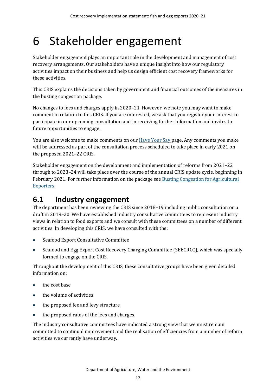# <span id="page-17-0"></span>6 Stakeholder engagement

Stakeholder engagement plays an important role in the development and management of cost recovery arrangements. Our stakeholders have a unique insight into how our regulatory activities impact on their business and help us design efficient cost recovery frameworks for these activities.

This CRIS explains the decisions taken by government and financial outcomes of the measures in the busting congestion package.

No changes to fees and charges apply in 2020–21. However, we note you may want to make comment in relation to this CRIS. If you are interested, we ask that you register your interest to participate in our upcoming consultation and in receiving further information and invites to future opportunities to engage.

You are also welcome to make comments on our [Have Your Say](https://haveyoursay.awe.gov.au/cost-recovery-implementation-statementshttps:/haveyoursay.awe.gov.au/cost-recovery-implementation-statements) page. Any comments you make will be addressed as part of the consultation process scheduled to take place in early 2021 on the proposed 2021–22 CRIS.

Stakeholder engagement on the development and implementation of reforms from 2021–22 through to 2023–24 will take place over the course of the annual CRIS update cycle, beginning in February 2021. For further information on the package se[e Busting Congestion for Agricultural](https://minister.awe.gov.au/littleproud/media-releases/budget-2020-21-backing-farmers-supporting-disaster-recovery-protecting-australians)  [Exporters.](https://minister.awe.gov.au/littleproud/media-releases/budget-2020-21-backing-farmers-supporting-disaster-recovery-protecting-australians)

## <span id="page-17-1"></span>**6.1 Industry engagement**

The department has been reviewing the CRIS since 2018–19 including public consultation on a draft in 2019–20. We have established industry consultative committees to represent industry views in relation to food exports and we consult with these committees on a number of different activities. In developing this CRIS, we have consulted with the:

- Seafood Export Consultative Committee
- Seafood and Egg Export Cost Recovery Charging Committee (SEECRCC), which was specially formed to engage on the CRIS.

Throughout the development of this CRIS, these consultative groups have been given detailed information on:

- the cost base
- the volume of activities
- the proposed fee and levy structure
- the proposed rates of the fees and charges.

The industry consultative committees have indicated a strong view that we must remain committed to continual improvement and the realisation of efficiencies from a number of reform activities we currently have underway.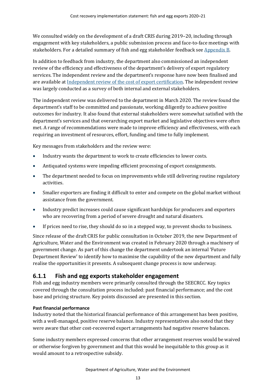We consulted widely on the development of a draft CRIS during 2019–20, including through engagement with key stakeholders, a public submission process and face-to-face meetings with stakeholders. For a detailed summary of fish and egg stakeholder feedback see [Appendix B.](#page-31-0)

In addition to feedback from industry, the department also commissioned an independent review of the efficiency and effectiveness of the department's delivery of export regulatory services. The independent review and the department's response have now been finalised and are available a[t Independent review of the cost of export certification.](https://www.agriculture.gov.au/fees/cost-recovery/independent-review-cost-export-certification) The independent review was largely conducted as a survey of both internal and external stakeholders.

The independent review was delivered to the department in March 2020. The review found the department's staff to be committed and passionate, working diligently to achieve positive outcomes for industry. It also found that external stakeholders were somewhat satisfied with the department's services and that overarching export market and legislative objectives were often met. A range of recommendations were made to improve efficiency and effectiveness, with each requiring an investment of resources, effort, funding and time to fully implement.

Key messages from stakeholders and the review were:

- Industry wants the department to work to create efficiencies to lower costs.
- Antiquated systems were impeding efficient processing of export consignments.
- The department needed to focus on improvements while still delivering routine regulatory activities.
- Smaller exporters are finding it difficult to enter and compete on the global market without assistance from the government.
- Industry predict increases could cause significant hardships for producers and exporters who are recovering from a period of severe drought and natural disasters.
- If prices need to rise, they should do so in a stepped way, to prevent shocks to business.

Since release of the draft CRIS for public consultation in October 2019, the new Department of Agriculture, Water and the Environment was created in February 2020 through a machinery of government change. As part of this change the department undertook an internal 'Future Department Review' to identify how to maximise the capability of the new department and fully realise the opportunities it presents. A subsequent change process is now underway.

### **6.1.1 Fish and egg exports stakeholder engagement**

Fish and egg industry members were primarily consulted through the SEECRCC. Key topics covered through the consultation process included: past financial performance; and the cost base and pricing structure. Key points discussed are presented in this section.

#### **Past financial performance**

Industry noted that the historical financial performance of this arrangement has been positive, with a well-managed, positive reserve balance. Industry representatives also noted that they were aware that other cost-recovered export arrangements had negative reserve balances.

Some industry members expressed concerns that other arrangement reserves would be waived or otherwise forgiven by government and that this would be inequitable to this group as it would amount to a retrospective subsidy.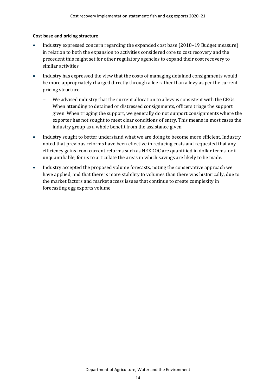#### **Cost base and pricing structure**

- Industry expressed concern regarding the expanded cost base (2018–19 Budget measure) in relation to both the expansion to activities considered core to cost recovery and the precedent this might set for other regulatory agencies to expand their cost recovery to similar activities.
- Industry has expressed the view that the costs of managing detained consignments would be more appropriately charged directly through a fee rather than a levy as per the current pricing structure.
	- We advised industry that the current allocation to a levy is consistent with the CRGs. When attending to detained or distressed consignments, officers triage the support given. When triaging the support, we generally do not support consignments where the exporter has not sought to meet clear conditions of entry. This means in most cases the industry group as a whole benefit from the assistance given.
- Industry sought to better understand what we are doing to become more efficient. Industry noted that previous reforms have been effective in reducing costs and requested that any efficiency gains from current reforms such as NEXDOC are quantified in dollar terms, or if unquantifiable, for us to articulate the areas in which savings are likely to be made.
- Industry accepted the proposed volume forecasts, noting the conservative approach we have applied, and that there is more stability to volumes than there was historically, due to the market factors and market access issues that continue to create complexity in forecasting egg exports volume.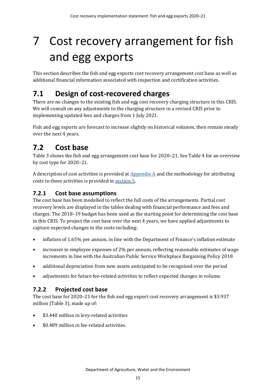# <span id="page-20-0"></span>7 Cost recovery arrangement for fish and egg exports

This section describes the fish and egg exports cost recovery arrangement cost base as well as additional financial information associated with inspection and certification activities.

## <span id="page-20-1"></span>**7.1 Design of cost-recovered charges**

There are no changes to the existing fish and egg cost recovery charging structure in this CRIS. We will consult on any adjustments to the charging structure in a revised CRIS prior to implementing updated fees and charges from 1 July 2021.

Fish and egg exports are forecast to increase slightly on historical volumes, then remain steady over the next 4 years.

## <span id="page-20-2"></span>**7.2 Cost base**

[Table 3](#page-21-0) shows the fish and egg arrangement cost base for 2020–21. See [Table 4](#page-21-1) for an overview by cost type for 2020–21.

A description of cost activities is provided at  $\Delta$ ppendix  $\Delta$  and the methodology for attributing costs to these activities is provided i[n section 5.](#page-14-0)

### **7.2.1 Cost base assumptions**

The cost base has been modelled to reflect the full costs of the arrangements. Partial cost recovery levels are displayed in the tables dealing with financial performance and fees and charges. The 2018–19 budget has been used as the starting point for determining the cost base in this CRIS. To project the cost base over the next 4 years, we have applied adjustments to capture expected changes to the costs including:

- inflation of 1.65% per annum, in line with the Department of Finance's inflation estimate
- increases in employee expenses of 2% per annum, reflecting reasonable estimates of wage increments in line with the Australian Public Service Workplace Bargaining Policy 2018
- additional depreciation from new assets anticipated to be recognised over the period
- adjustments for future fee-related activities to reflect expected changes in volume.

### **7.2.2 Projected cost base**

The cost base for 2020–21 for the fish and egg export cost recovery arrangement is \$3.937 million [\(Table 3\)](#page-21-0), made up of:

- \$3.448 million in levy-related activities
- \$0.489 million in fee-related activities.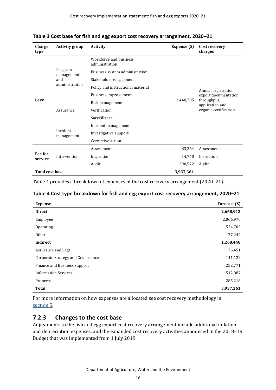| Charge<br>type         | <b>Activity group</b>               | <b>Activity</b>                          | Expense (\$) | Cost recovery<br>charges                                                                                 |
|------------------------|-------------------------------------|------------------------------------------|--------------|----------------------------------------------------------------------------------------------------------|
|                        |                                     | Workforce and business<br>administration |              |                                                                                                          |
|                        | Program<br>management               | Business system administration           |              | Annual registration,<br>export documentation,<br>throughput,<br>application and<br>organic certification |
|                        | and                                 | Stakeholder engagement                   |              |                                                                                                          |
|                        | administration                      | Policy and instructional material        |              |                                                                                                          |
|                        |                                     | Business improvement                     |              |                                                                                                          |
| Levy                   | Assurance<br>Incident<br>management | Risk management                          | 3,448,785    |                                                                                                          |
|                        |                                     | Verification                             |              |                                                                                                          |
|                        |                                     | Surveillance                             |              |                                                                                                          |
|                        |                                     | Incident management                      |              |                                                                                                          |
|                        |                                     | Investigative support                    |              |                                                                                                          |
|                        |                                     | Corrective action                        |              |                                                                                                          |
|                        | Intervention                        | Assessment                               | 83,264       | Assessment                                                                                               |
| Fee for<br>service     |                                     | Inspection                               | 14,740       | Inspection                                                                                               |
|                        |                                     | Audit                                    | 390,572      | Audit                                                                                                    |
| <b>Total cost base</b> |                                     |                                          | 3,937,361    | $\qquad \qquad -$                                                                                        |

<span id="page-21-0"></span>**Table 3 Cost base for fish and egg export cost recovery arrangement, 2020–21**

[Table 4](#page-21-1) provides a breakdown of expenses of the cost recovery arrangement (2020–21).

#### <span id="page-21-1"></span>**Table 4 Cost type breakdown for fish and egg export cost recovery arrangement, 2020–21**

| <b>Expense</b>                      | Forecast (\$) |
|-------------------------------------|---------------|
| <b>Direct</b>                       | 2,668,913     |
| Employee                            | 2,066,970     |
| Operating                           | 524,702       |
| <b>Other</b>                        | 77,242        |
| Indirect                            | 1,268,448     |
| Assurance and Legal                 | 76,451        |
| Corporate Strategy and Governance   | 141,122       |
| <b>Finance and Business Support</b> | 252,771       |
| <b>Information Services</b>         | 512,887       |
| Property                            | 285,218       |
| <b>Total</b>                        | 3,937,361     |

For more information on how expenses are allocated see cost recovery methodology in [section](#page-14-0) 5.

#### **7.2.3 Changes to the cost base**

Adjustments to the fish and egg export cost recovery arrangement include additional inflation and depreciation expenses, and the expanded cost recovery activities announced in the 2018–19 Budget that was implemented from 1 July 2019.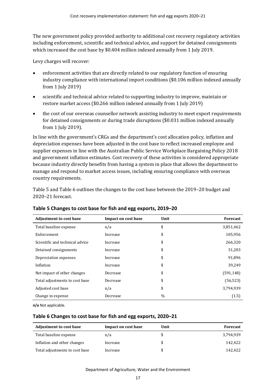The new government policy provided authority to additional cost recovery regulatory activities including enforcement, scientific and technical advice, and support for detained consignments which increased the cost base by \$0.404 million indexed annually from 1 July 2019.

Levy charges will recover:

- enforcement activities that are directly related to our regulatory function of ensuring industry compliance with international import conditions (\$0.106 million indexed annually from 1 July 2019)
- scientific and technical advice related to supporting industry to improve, maintain or restore market access (\$0.266 million indexed annually from 1 July 2019)
- the cost of our overseas counsellor network assisting industry to meet export requirements for detained consignments or during trade disruptions (\$0.031 million indexed annually from 1 July 2019).

In line with the government's CRGs and the department's cost allocation policy, inflation and depreciation expenses have been adjusted in the cost base to reflect increased employee and supplier expenses in line with the Australian Public Service Workplace Bargaining Policy 2018 and government inflation estimates. Cost recovery of these activities is considered appropriate because industry directly benefits from having a system in place that allows the department to manage and respond to market access issues, including ensuring compliance with overseas country requirements.

[Table 5](#page-22-0) and [Table 6](#page-22-1) outlines the changes to the cost base between the 2019–20 budget and 2020–21 forecast.

| <b>Adjustment to cost base</b>  | Impact on cost base | Unit | Forecast  |
|---------------------------------|---------------------|------|-----------|
| Total baseline expense          | n/a                 | \$   | 3,851,462 |
| Enforcement                     | Increase            | \$   | 105,956   |
| Scientific and technical advice | Increase            | \$   | 266,320   |
| Detained consignments           | Increase            | \$   | 31,203    |
| Depreciation expenses           | Increase            | \$   | 91,896    |
| Inflation                       | Increase            | \$   | 39,249    |
| Net impact of other changes     | Decrease            | \$   | (591,148) |
| Total adjustments to cost base  | Decrease            | \$   | (56, 523) |
| Adjusted cost base              | n/a                 | \$   | 3,794,939 |
| Change in expense               | Decrease            | $\%$ | (1.5)     |

#### <span id="page-22-0"></span>**Table 5 Changes to cost base for fish and egg exports, 2019–20**

**n/a** Not applicable.

#### <span id="page-22-1"></span>**Table 6 Changes to cost base for fish and egg exports, 2020–21**

| <b>Adjustment to cost base</b> | Impact on cost base | Unit | Forecast  |
|--------------------------------|---------------------|------|-----------|
| Total baseline expense         | n/a                 |      | 3,794,939 |
| Inflation and other changes    | Increase            | S    | 142.422   |
| Total adjustments to cost base | Increase            | S    | 142.422   |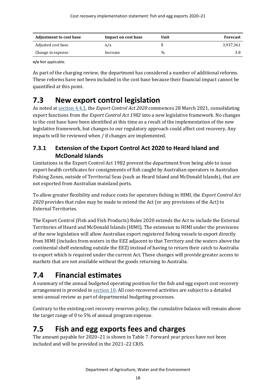| <b>Adjustment to cost base</b> | Impact on cost base | Unit | <b>Forecast</b> |
|--------------------------------|---------------------|------|-----------------|
| Adjusted cost base             | n/a                 |      | 3.937.361       |
| Change in expense              | Increase            | $\%$ | 3.8             |

**n/a** Not applicable.

As part of the charging review, the department has considered a number of additional reforms. These reforms have not been included in the cost base because their financial impact cannot be quantified at this point.

## <span id="page-23-0"></span>**7.3 New export control legislation**

As noted at section 4.4.3, the *Export Control Act 2020* commences 28 March 2021, consolidating export functions from the *Export Control Act 1982* into a new legislative framework. No changes to the cost base have been identified at this time as a result of the implementation of the new legislative framework, but changes to our regulatory approach could affect cost recovery. Any impacts will be reviewed when / if changes are implemented.

### **7.3.1 Extension of the Export Control Act 2020 to Heard Island and McDonald Islands**

Limitations in the Export Control Act 1982 prevent the department from being able to issue export health certificates for consignments of fish caught by Australian operators in Australian Fishing Zones, outside of Territorial Seas (such as Heard Island and McDonald Islands), that are not exported from Australian mainland ports.

To allow greater flexibility and reduce costs for operators fishing in HIMI, the *Export Control Act 2020* provides that rules may be made to extend the Act (or any provisions of the Act) to External Territories.

The Export Control (Fish and Fish Products) Rules 2020 extends the Act to include the External Territories of Heard and McDonald Islands (HIMI). The extension to HIMI under the provisions of the new legislation will allow Australian export registered fishing vessels to export directly from HIMI (includes from waters in the EEZ adjacent to that Territory and the waters above the continental shelf extending outside the EEZ) instead of having to return their catch to Australia to export which is required under the current Act. These changes will provide greater access to markets that are not available without the goods returning to Australia.

## <span id="page-23-1"></span>**7.4 Financial estimates**

A summary of the annual budgeted operating position for the fish and egg export cost recovery arrangement is provided in [section 10.](#page-26-0) All cost-recovered activities are subject to a detailed semi-annual review as part of departmental budgeting processes.

Contrary to the existing cost recovery reserves policy, the cumulative balance will remain above the target range of 0 to 5% of annual program expense.

## <span id="page-23-2"></span>**7.5 Fish and egg exports fees and charges**

The amount payable for 2020–21 is shown in [Table 7.](#page-24-0) Forward year prices have not been included and will be provided in the 2021–22 CRIS.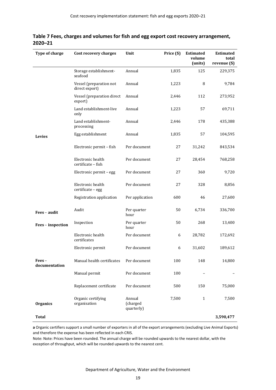| Type of charge         | Cost recovery charges                     | Unit                             | Price (\$) | <b>Estimated</b><br>volume<br>(units) | <b>Estimated</b><br>total<br>revenue (\$) |
|------------------------|-------------------------------------------|----------------------------------|------------|---------------------------------------|-------------------------------------------|
|                        | Storage establishment-<br>seafood         | Annual                           | 1,835      | 125                                   | 229,375                                   |
|                        | Vessel (preparation not<br>direct export) | Annual                           | 1,223      | 8                                     | 9,784                                     |
|                        | Vessel (preparation direct<br>export)     | Annual                           | 2,446      | 112                                   | 273,952                                   |
|                        | Land establishment-live<br>only           | Annual                           | 1,223      | 57                                    | 69,711                                    |
|                        | Land establishment-<br>processing         | Annual                           | 2,446      | 178                                   | 435,388                                   |
| Levies                 | Egg establishment                         | Annual                           | 1,835      | 57                                    | 104,595                                   |
|                        | Electronic permit - fish                  | Per document                     | 27         | 31,242                                | 843,534                                   |
|                        | Electronic health<br>certificate - fish   | Per document                     | 27         | 28,454                                | 768,258                                   |
|                        | Electronic permit - egg                   | Per document                     | 27         | 360                                   | 9,720                                     |
|                        | Electronic health<br>certificate - egg    | Per document                     | 27         | 328                                   | 8,856                                     |
|                        | Registration application                  | Per application                  | 600        | 46                                    | 27,600                                    |
| Fees - audit           | Audit                                     | Per quarter<br>hour              | 50         | 6,734                                 | 336,700                                   |
| Fees - inspection      | Inspection                                | Per quarter<br>hour              | 50         | 268                                   | 13,400                                    |
|                        | Electronic health<br>certificates         | Per document                     | 6          | 28,782                                | 172,692                                   |
|                        | Electronic permit                         | Per document                     | 6          | 31,602                                | 189,612                                   |
| Fees-<br>documentation | Manual health certificates                | Per document                     | 100        | 148                                   | 14,800                                    |
|                        | Manual permit                             | Per document                     | 100        |                                       |                                           |
|                        | Replacement certificate                   | Per document                     | 500        | 150                                   | 75,000                                    |
| <b>Organics</b>        | Organic certifying<br>organisation        | Annual<br>(charged<br>quarterly) | 7,500      | $\mathbf{1}$                          | 7,500                                     |
| <b>Total</b>           |                                           |                                  |            |                                       | 3,590,477                                 |

<span id="page-24-0"></span>

|         | Table 7 Fees, charges and volumes for fish and egg export cost recovery arrangement, |  |  |
|---------|--------------------------------------------------------------------------------------|--|--|
| 2020–21 |                                                                                      |  |  |

**a** Organic certifiers support a small number of exporters in all of the export arrangements (excluding Live Animal Exports) and therefore the expense has been reflected in each CRIS.

Note: Note: Prices have been rounded. The annual charge will be rounded upwards to the nearest dollar, with the exception of throughput, which will be rounded upwards to the nearest cent.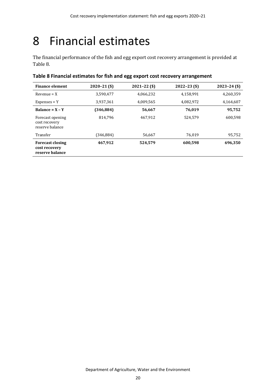# <span id="page-25-0"></span>8 Financial estimates

The financial performance of the fish and egg export cost recovery arrangement is provided at [Table 8.](#page-25-1)

#### <span id="page-25-1"></span>**Table 8 Financial estimates for fish and egg export cost recovery arrangement**

| <b>Finance element</b>                                      | $2020 - 21$ (\$) | $2021 - 22$ (\$) | $2022 - 23$ (\$) | $2023 - 24$ (\$) |
|-------------------------------------------------------------|------------------|------------------|------------------|------------------|
| $Revenue = X$                                               | 3,590,477        | 4,066,232        | 4,158,991        | 4,260,359        |
| $Expenses = Y$                                              | 3,937,361        | 4,009,565        | 4,082,972        | 4,164,607        |
| Balance = $X - Y$                                           | (346, 884)       | 56,667           | 76,019           | 95,752           |
| Forecast opening<br>cost recovery<br>reserve balance        | 814,796          | 467.912          | 524.579          | 600.598          |
| Transfer                                                    | (346,884)        | 56,667           | 76.019           | 95,752           |
| <b>Forecast closing</b><br>cost recovery<br>reserve balance | 467,912          | 524,579          | 600,598          | 696,350          |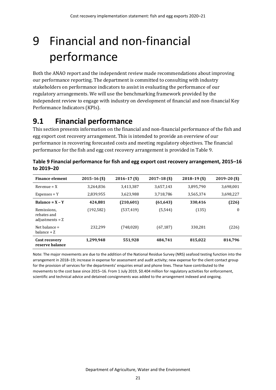# <span id="page-26-0"></span>9 Financial and non-financial performance

Both the ANAO report and the independent review made recommendations about improving our performance reporting. The department is committed to consulting with industry stakeholders on performance indicators to assist in evaluating the performance of our regulatory arrangements. We will use the benchmarking framework provided by the independent review to engage with industry on development of financial and non-financial Key Performance Indicators (KPIs).

## <span id="page-26-1"></span>**9.1 Financial performance**

This section presents information on the financial and non-financial performance of the fish and egg export cost recovery arrangement. This is intended to provide an overview of our performance in recovering forecasted costs and meeting regulatory objectives. The financial performance for the fish and egg cost recovery arrangement is provided in [Table 9.](#page-26-2)

| <b>Finance element</b>                          | $2015 - 16$ (\$) | $2016 - 17$ (\$) | $2017 - 18$ (\$) | $2018 - 19$ (\$) | $2019 - 20$ (\$) |
|-------------------------------------------------|------------------|------------------|------------------|------------------|------------------|
| $Revenue = X$                                   | 3,264,836        | 3,413,387        | 3,657,143        | 3,895,790        | 3,698,001        |
| $Expenses = Y$                                  | 2,839,955        | 3,623,988        | 3,718,786        | 3,565,374        | 3,698,227        |
| Balance = $X - Y$                               | 424,881          | (210, 601)       | (61, 643)        | 330,416          | (226)            |
| Remissions,<br>rebates and<br>adjustments = $Z$ | (192, 582)       | (537, 419)       | (5, 544)         | (135)            | $\boldsymbol{0}$ |
| Net balance $=$<br>balance + Z                  | 232.299          | (748, 020)       | (67, 187)        | 330.281          | (226)            |
| Cost recovery<br>reserve balance                | 1,299,948        | 551,928          | 484,741          | 815,022          | 814,796          |

<span id="page-26-2"></span>

| Table 9 Financial performance for fish and egg export cost recovery arrangement, 2015–16 |  |
|------------------------------------------------------------------------------------------|--|
| to 2019-20                                                                               |  |

Note: The major movements are due to the addition of the National Residue Survey (NRS) seafood testing function into the arrangement in 2018–19; increase in expense for assessment and audit activity; new expense for the client contact group for the provision of services for the departments' enquiries email and phone lines. These have contributed to the movements to the cost base since 2015–16. From 1 July 2019, \$0.404 million for regulatory activities for enforcement, scientific and technical advice and detained consignments was added to the arrangement indexed and ongoing.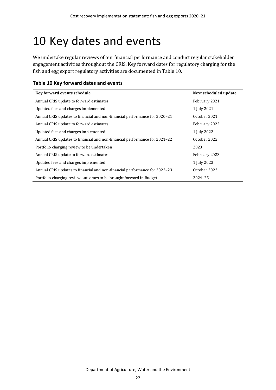## <span id="page-27-0"></span>10 Key dates and events

We undertake regular reviews of our financial performance and conduct regular stakeholder engagement activities throughout the CRIS. Key forward dates for regulatory charging for the fish and egg export regulatory activities are documented i[n Table 10.](#page-27-1)

<span id="page-27-1"></span>

| Table 10 Key forward dates and events |  |  |  |  |
|---------------------------------------|--|--|--|--|
|---------------------------------------|--|--|--|--|

| Key forward events schedule                                                | Next scheduled update |
|----------------------------------------------------------------------------|-----------------------|
| Annual CRIS update to forward estimates                                    | February 2021         |
| Updated fees and charges implemented                                       | 1 July 2021           |
| Annual CRIS updates to financial and non-financial performance for 2020-21 | October 2021          |
| Annual CRIS update to forward estimates                                    | February 2022         |
| Updated fees and charges implemented                                       | 1 July 2022           |
| Annual CRIS updates to financial and non-financial performance for 2021–22 | October 2022          |
| Portfolio charging review to be undertaken                                 | 2023                  |
| Annual CRIS update to forward estimates                                    | February 2023         |
| Updated fees and charges implemented                                       | 1 July 2023           |
| Annual CRIS updates to financial and non-financial performance for 2022–23 | October 2023          |
| Portfolio charging review outcomes to be brought forward in Budget         | 2024-25               |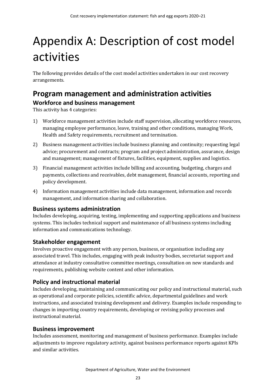# <span id="page-28-0"></span>Appendix A: Description of cost model activities

The following provides details of the cost model activities undertaken in our cost recovery arrangements.

### <span id="page-28-1"></span>**Program management and administration activities Workforce and business management**

This activity has 4 categories:

- 1) Workforce management activities include staff supervision, allocating workforce resources, managing employee performance, leave, training and other conditions, managing Work, Health and Safety requirements, recruitment and termination.
- 2) Business management activities include business planning and continuity; requesting legal advice; procurement and contracts; program and project administration, assurance, design and management; management of fixtures, facilities, equipment, supplies and logistics.
- 3) Financial management activities include billing and accounting, budgeting, charges and payments, collections and receivables, debt management, financial accounts, reporting and policy development.
- 4) Information management activities include data management, information and records management, and information sharing and collaboration.

#### **Business systems administration**

Includes developing, acquiring, testing, implementing and supporting applications and business systems. This includes technical support and maintenance of all business systems including information and communications technology.

### **Stakeholder engagement**

Involves proactive engagement with any person, business, or organisation including any associated travel. This includes, engaging with peak industry bodies, secretariat support and attendance at industry consultative committee meetings, consultation on new standards and requirements, publishing website content and other information.

### **Policy and instructional material**

Includes developing, maintaining and communicating our policy and instructional material, such as operational and corporate policies, scientific advice, departmental guidelines and work instructions, and associated training development and delivery. Examples include responding to changes in importing country requirements, developing or revising policy processes and instructional material.

### **Business improvement**

Includes assessment, monitoring and management of business performance. Examples include adjustments to improve regulatory activity, against business performance reports against KPIs and similar activities.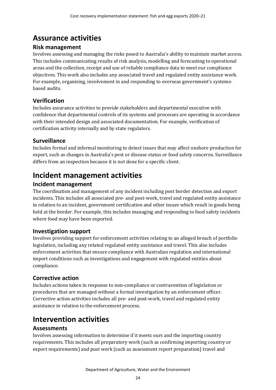## <span id="page-29-0"></span>**Assurance activities**

#### **Risk management**

Involves assessing and managing the risks posed to Australia's ability to maintain market access. This includes communicating results of risk analysis, modelling and forecasting to operational areas and the collection, receipt and use of reliable compliance data to meet our compliance objectives. This work also includes any associated travel and regulated entity assistance work. For example, organising, involvement in and responding to overseas government's systemsbased audits.

### **Verification**

Includes assurance activities to provide stakeholders and departmental executive with confidence that departmental controls of its systems and processes are operating in accordance with their intended design and associated documentation. For example, verification of certification activity internally and by state regulators.

### **Surveillance**

Includes formal and informal monitoring to detect issues that may affect onshore production for export, such as changes in Australia's pest or disease status or food safety concerns. Surveillance differs from an inspection because it is not done for a specific client.

## <span id="page-29-1"></span>**Incident management activities**

### **Incident management**

The coordination and management of any incident including post border detection and export incidents. This includes all associated pre- and post-work, travel and regulated entity assistance in relation to an incident, government certification and other issues which result in goods being held at the border. For example, this includes managing and responding to food safety incidents where food may have been exported.

### **Investigation support**

Involves providing support for enforcement activities relating to an alleged breach of portfolio legislation, including any related regulated entity assistance and travel. This also includes enforcement activities that ensure compliance with Australian regulation and international import conditions such as investigations and engagement with regulated entities about compliance.

### **Corrective action**

Includes actions taken in response to non-compliance or contravention of legislation or procedures that are managed without a formal investigation by an enforcement officer. Corrective action activities includes all pre- and post-work, travel and regulated entity assistance in relation to the enforcement process.

## <span id="page-29-2"></span>**Intervention activities**

### **Assessments**

Involves assessing information to determine if it meets ours and the importing country requirements. This includes all preparatory work (such as confirming importing country or export requirements) and post work (such as assessment report preparation) travel and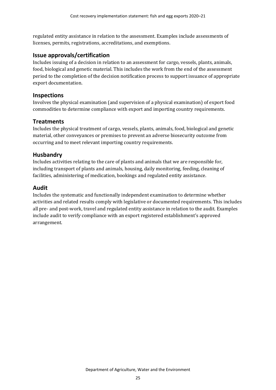regulated entity assistance in relation to the assessment. Examples include assessments of licenses, permits, registrations, accreditations, and exemptions.

#### **Issue approvals/certification**

Includes issuing of a decision in relation to an assessment for cargo, vessels, plants, animals, food, biological and genetic material. This includes the work from the end of the assessment period to the completion of the decision notification process to support issuance of appropriate export documentation.

#### **Inspections**

Involves the physical examination (and supervision of a physical examination) of export food commodities to determine compliance with export and importing country requirements.

#### **Treatments**

Includes the physical treatment of cargo, vessels, plants, animals, food, biological and genetic material, other conveyances or premises to prevent an adverse biosecurity outcome from occurring and to meet relevant importing country requirements.

#### **Husbandry**

Includes activities relating to the care of plants and animals that we are responsible for, including transport of plants and animals, housing, daily monitoring, feeding, cleaning of facilities, administering of medication, bookings and regulated entity assistance.

#### **Audit**

Includes the systematic and functionally independent examination to determine whether activities and related results comply with legislative or documented requirements. This includes all pre- and post-work, travel and regulated entity assistance in relation to the audit. Examples include audit to verify compliance with an export registered establishment's approved arrangement.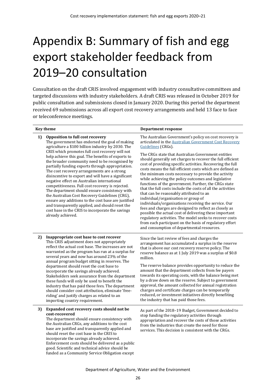# <span id="page-31-0"></span>Appendix B: Summary of fish and egg export stakeholder feedback from 2019–20 consultation

Consultation on the draft CRIS involved engagement with industry consultative committees and targeted discussions with industry stakeholders. A draft CRIS was released in October 2019 for public consultation and submissions closed in January 2020. During this period the department received 69 submissions across all export cost recovery arrangements and held 13 face to face or teleconference meetings.

|    | <b>Key theme</b>                                                                                                                                                                                                                                                                                                                                                                                                                                                                                                                                                                                                                                                                                          | Department response                                                                                                                                                                                                                                                                                                                                                                                                                                                                                                                                                                                                                                                                                                                                                                                                                                                                                                |  |  |
|----|-----------------------------------------------------------------------------------------------------------------------------------------------------------------------------------------------------------------------------------------------------------------------------------------------------------------------------------------------------------------------------------------------------------------------------------------------------------------------------------------------------------------------------------------------------------------------------------------------------------------------------------------------------------------------------------------------------------|--------------------------------------------------------------------------------------------------------------------------------------------------------------------------------------------------------------------------------------------------------------------------------------------------------------------------------------------------------------------------------------------------------------------------------------------------------------------------------------------------------------------------------------------------------------------------------------------------------------------------------------------------------------------------------------------------------------------------------------------------------------------------------------------------------------------------------------------------------------------------------------------------------------------|--|--|
| 1) | Opposition to full cost recovery<br>The government has endorsed the goal of making<br>agriculture a \$100 billion industry by 2030. The                                                                                                                                                                                                                                                                                                                                                                                                                                                                                                                                                                   | The Australian Government's policy on cost recovery is<br>articulated in the Australian Government Cost Recovery<br>Guidelines (CRGs).                                                                                                                                                                                                                                                                                                                                                                                                                                                                                                                                                                                                                                                                                                                                                                             |  |  |
|    | CRIS which promotes full cost recovery will not<br>help achieve this goal. The benefits of exports to<br>the broader community need to be recognised by<br>partially funding exports through appropriation.<br>The cost recovery arrangements are a strong<br>disincentive to export and will have a significant<br>negative effect on Australian international<br>competitiveness. Full cost recovery is rejected.<br>The department should ensure consistency with<br>the Australian Cost Recovery Guidelines (CRG),<br>ensure any additions to the cost base are justified<br>and transparently applied, and should reset the<br>cost base in the CRIS to incorporate the savings<br>already achieved. | The CRGs state that Australian Government entities<br>should generally set charges to recover the full efficient<br>cost of providing specific activities. Recovering the full<br>costs means the full efficient costs which are defined as<br>the minimum costs necessary to provide the activity<br>while achieving the policy outcomes and legislative<br>functions of the government. Further, the CRGs state<br>that the full costs include the costs of all the activities<br>that can be reasonably attributed to an<br>individual/organisation or group of<br>individuals/organisations receiving the service. Our<br>fees and charges are designed to reflect as closely as<br>possible the actual cost of delivering these important<br>regulatory activities. The model seeks to recover costs<br>from each participant on the basis of regulatory effort<br>and consumption of departmental resources. |  |  |
| 2) | Inappropriate cost base to cost recover<br>This CRIS adjustment does not appropriately<br>reflect the actual cost base. The increases are not<br>warranted as the program has run at a surplus for<br>several years and now has around 23% of the<br>annual program budget sitting in reserves. The<br>department should reset the cost base to                                                                                                                                                                                                                                                                                                                                                           | Since the last review of fees and charges the<br>arrangement has accumulated a surplus in the reserve<br>that is above our cost recovery reserve policy. The<br>reserve balance as at 1 July 2019 was a surplus of \$0.8<br>million.<br>The reserve balance provides opportunity to reduce the<br>amount that the department collects from fee payers                                                                                                                                                                                                                                                                                                                                                                                                                                                                                                                                                              |  |  |
|    | incorporate the savings already achieved.<br>Stakeholders seek assurance from the department<br>these funds will only be used to benefit the<br>industry that has paid those fees. The department<br>should consider cost attribution, eliminate 'free-<br>riding' and justify charges as related to an<br>importing country requirement.                                                                                                                                                                                                                                                                                                                                                                 | towards its operating costs, with the balance being met<br>by a draw down on the reserve. Subject to government<br>approval, the amount collected for annual registration<br>charges and certificate charges can be temporarily<br>reduced, or investment initiatives directly benefiting<br>the industry that has paid those fees.                                                                                                                                                                                                                                                                                                                                                                                                                                                                                                                                                                                |  |  |
| 3) | Expanded cost recovery costs should not be<br>cost-recovered<br>The department should ensure consistency with<br>the Australian CRGs, any additions to the cost<br>base are justified and transparently applied and<br>should reset the cost base in the CRIS to<br>incorporate the savings already achieved.<br>Enforcement costs should be delivered as a public<br>good. Scientific and technical advice should be<br>funded as a Community Service Obligation except                                                                                                                                                                                                                                  | As part of the 2018-19 Budget, Government decided to<br>stop funding the regulatory activities through<br>appropriation and recover the costs of those activities<br>from the industries that create the need for those<br>services. This decision is consistent with the CRGs.                                                                                                                                                                                                                                                                                                                                                                                                                                                                                                                                                                                                                                    |  |  |

Department of Agriculture, Water and the Environment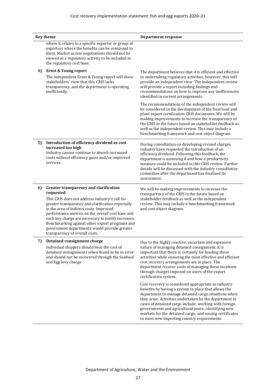|    | <b>Key theme</b>                                                                                                                                                                                                                                                                                                                                                                                                                                     | <b>Department response</b>                                                                                                                                                                                                                                                                                                                                                                                                                              |
|----|------------------------------------------------------------------------------------------------------------------------------------------------------------------------------------------------------------------------------------------------------------------------------------------------------------------------------------------------------------------------------------------------------------------------------------------------------|---------------------------------------------------------------------------------------------------------------------------------------------------------------------------------------------------------------------------------------------------------------------------------------------------------------------------------------------------------------------------------------------------------------------------------------------------------|
|    | where it relates to a specific exporter or group of<br>exporters where the benefits can be contained to<br>them. Market access negotiations should not be<br>viewed as a regulatory activity to be included in<br>the regulatory cost base.                                                                                                                                                                                                          |                                                                                                                                                                                                                                                                                                                                                                                                                                                         |
| 4) | <b>Ernst &amp; Young report</b><br>The independent Ernst & Young report will show<br>stakeholders' view that this CRIS lacks<br>transparency, and the department is operating<br>inefficiently.                                                                                                                                                                                                                                                      | The department believes that it is efficient and effective<br>in undertaking regulatory activities, however, this will<br>provide an independent view. The independent review<br>will provide a report including findings and<br>recommendations on how to improve any inefficiencies<br>identified in current arrangements.                                                                                                                            |
|    |                                                                                                                                                                                                                                                                                                                                                                                                                                                      | The recommendations of the independent review will<br>be considered in the development of the final food and<br>plant export certification CRIS documents. We will be<br>making improvements to increase the transparency of<br>the CRIS in the future based on stakeholder feedback as<br>well as the independent review. This may include a<br>benchmarking framework and cost object diagram.                                                        |
| 5) | Introduction of efficiency dividend as cost<br>increased too high<br>Industry cannot continue to absorb increased<br>costs without efficiency gains and/or improved<br>services.                                                                                                                                                                                                                                                                     | During consultation on developing revised charges,<br>industry have requested the introduction of an<br>efficiency dividend. Following this feedback, the<br>department is assessing if and how a productivity<br>measure could be included in this CRIS review. Further<br>details will be discussed with the industry consultative<br>committee after the department has finalised its<br>assessment.                                                 |
| 6) | Greater transparency and clarification<br>requested<br>This CRIS does not address industry's call for<br>greater transparency and clarification especially<br>in the area of indirect costs. Improved<br>performance metrics on the overall cost base and<br>each key charge are necessary to justify increases.<br>Benchmarking against other export programs and<br>government departments would provide greater<br>transparency of overall costs. | We will be making improvements to increase the<br>transparency of the CRIS in the future based on<br>stakeholder feedback as well as the independent<br>review. This may include a benchmarking framework<br>and cost object diagram.                                                                                                                                                                                                                   |
| 7) | Detained consignment charge<br>Individual shippers should bear the cost of<br>detained consignments when found to be in error<br>and should not be recovered through the Seafood<br>and Egg levy charge.                                                                                                                                                                                                                                             | Due to the highly reactive, uncertain and expensive<br>nature of managing detained consignment, it is<br>important that there is certainty for funding these<br>activities while ensuring the most effective and efficient<br>cost recovery arrangements are in place. The<br>department recover costs of managing these incidents<br>through charges imposed on users of the export<br>certification system.                                           |
|    |                                                                                                                                                                                                                                                                                                                                                                                                                                                      | Cost recovery is considered appropriate as industry<br>benefits by having a system in place that allows the<br>department to manage detained cargo situations when<br>they arise. Activities undertaken by the department in<br>cases of detained cargo include: working with foreign<br>governments and agricultural posts; identifying new<br>markets for the detained cargo; and issuing certificates<br>to meet new importing country requirements. |